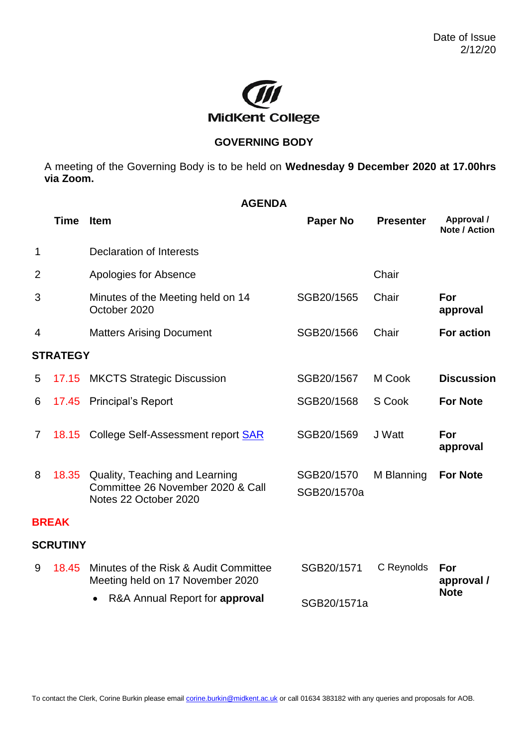

## **GOVERNING BODY**

A meeting of the Governing Body is to be held on **Wednesday 9 December 2020 at 17.00hrs via Zoom.**

| <b>AGENDA</b>   |                                                                                              |                                                                       |                  |                                    |  |  |  |
|-----------------|----------------------------------------------------------------------------------------------|-----------------------------------------------------------------------|------------------|------------------------------------|--|--|--|
| <b>Time</b>     | <b>Item</b>                                                                                  | <b>Paper No</b>                                                       | <b>Presenter</b> | Approval /<br><b>Note / Action</b> |  |  |  |
|                 | <b>Declaration of Interests</b>                                                              |                                                                       |                  |                                    |  |  |  |
|                 | Apologies for Absence                                                                        |                                                                       | Chair            |                                    |  |  |  |
|                 | Minutes of the Meeting held on 14<br>October 2020                                            | SGB20/1565                                                            | Chair            | For<br>approval                    |  |  |  |
|                 | <b>Matters Arising Document</b>                                                              | SGB20/1566                                                            | Chair            | <b>For action</b>                  |  |  |  |
| <b>STRATEGY</b> |                                                                                              |                                                                       |                  |                                    |  |  |  |
| 17.15           | <b>MKCTS Strategic Discussion</b>                                                            | SGB20/1567                                                            | M Cook           | <b>Discussion</b>                  |  |  |  |
| 17.45           |                                                                                              | SGB20/1568                                                            | S Cook           | <b>For Note</b>                    |  |  |  |
|                 |                                                                                              | SGB20/1569                                                            | J Watt           | For<br>approval                    |  |  |  |
| 18.35           | Quality, Teaching and Learning<br>Committee 26 November 2020 & Call<br>Notes 22 October 2020 | SGB20/1570<br>SGB20/1570a                                             | M Blanning       | <b>For Note</b>                    |  |  |  |
| <b>BREAK</b>    |                                                                                              |                                                                       |                  |                                    |  |  |  |
| <b>SCRUTINY</b> |                                                                                              |                                                                       |                  |                                    |  |  |  |
| 18.45           | Minutes of the Risk & Audit Committee<br>Meeting held on 17 November 2020                    | SGB20/1571                                                            | C Reynolds       | For<br>approval /                  |  |  |  |
|                 | R&A Annual Report for approval                                                               | SGB20/1571a                                                           |                  | <b>Note</b>                        |  |  |  |
|                 |                                                                                              | <b>Principal's Report</b><br>18.15 College Self-Assessment report SAR |                  |                                    |  |  |  |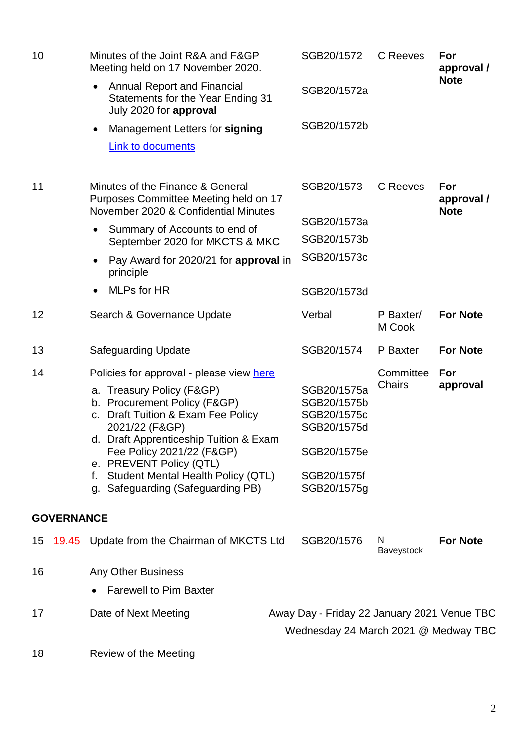| 10 |                   | Minutes of the Joint R&A and F&GP<br>Meeting held on 17 November 2020.                                            |                                                                                                                                                                                                                     | SGB20/1572                                                                          | C Reeves            | For<br>approval /                |
|----|-------------------|-------------------------------------------------------------------------------------------------------------------|---------------------------------------------------------------------------------------------------------------------------------------------------------------------------------------------------------------------|-------------------------------------------------------------------------------------|---------------------|----------------------------------|
|    |                   |                                                                                                                   | <b>Annual Report and Financial</b><br>Statements for the Year Ending 31<br>July 2020 for approval                                                                                                                   | SGB20/1572a                                                                         |                     | <b>Note</b>                      |
|    |                   |                                                                                                                   | Management Letters for signing                                                                                                                                                                                      | SGB20/1572b                                                                         |                     |                                  |
|    |                   |                                                                                                                   | Link to documents                                                                                                                                                                                                   |                                                                                     |                     |                                  |
| 11 |                   | Minutes of the Finance & General<br>Purposes Committee Meeting held on 17<br>November 2020 & Confidential Minutes |                                                                                                                                                                                                                     | SGB20/1573                                                                          | C Reeves            | For<br>approval /<br><b>Note</b> |
|    |                   |                                                                                                                   | Summary of Accounts to end of                                                                                                                                                                                       | SGB20/1573a                                                                         |                     |                                  |
|    |                   |                                                                                                                   | September 2020 for MKCTS & MKC                                                                                                                                                                                      | SGB20/1573b                                                                         |                     |                                  |
|    |                   | ٠                                                                                                                 | Pay Award for 2020/21 for approval in<br>principle                                                                                                                                                                  | SGB20/1573c                                                                         |                     |                                  |
|    |                   | $\bullet$                                                                                                         | <b>MLPs for HR</b>                                                                                                                                                                                                  | SGB20/1573d                                                                         |                     |                                  |
| 12 |                   |                                                                                                                   | Search & Governance Update                                                                                                                                                                                          | Verbal                                                                              | P Baxter/<br>M Cook | <b>For Note</b>                  |
| 13 |                   |                                                                                                                   | <b>Safeguarding Update</b>                                                                                                                                                                                          | SGB20/1574                                                                          | P Baxter            | <b>For Note</b>                  |
| 14 |                   | Policies for approval - please view here                                                                          |                                                                                                                                                                                                                     |                                                                                     | Committee           | For                              |
|    |                   |                                                                                                                   | a. Treasury Policy (F&GP)<br>b. Procurement Policy (F&GP)<br>c. Draft Tuition & Exam Fee Policy<br>2021/22 (F&GP)<br>d. Draft Apprenticeship Tuition & Exam<br>Fee Policy 2021/22 (F&GP)<br>e. PREVENT Policy (QTL) | SGB20/1575a<br>SGB20/1575b<br>SGB20/1575c<br>SGB20/1575d                            | <b>Chairs</b>       | approval                         |
|    |                   |                                                                                                                   |                                                                                                                                                                                                                     | SGB20/1575e                                                                         |                     |                                  |
|    |                   | f.                                                                                                                | <b>Student Mental Health Policy (QTL)</b><br>g. Safeguarding (Safeguarding PB)                                                                                                                                      | SGB20/1575f<br>SGB20/1575g                                                          |                     |                                  |
|    | <b>GOVERNANCE</b> |                                                                                                                   |                                                                                                                                                                                                                     |                                                                                     |                     |                                  |
|    |                   |                                                                                                                   | 15 19.45 Update from the Chairman of MKCTS Ltd                                                                                                                                                                      | SGB20/1576                                                                          | N<br>Baveystock     | <b>For Note</b>                  |
| 16 |                   |                                                                                                                   | <b>Any Other Business</b>                                                                                                                                                                                           |                                                                                     |                     |                                  |
|    |                   |                                                                                                                   | <b>Farewell to Pim Baxter</b>                                                                                                                                                                                       |                                                                                     |                     |                                  |
|    |                   |                                                                                                                   |                                                                                                                                                                                                                     |                                                                                     |                     |                                  |
| 17 |                   |                                                                                                                   | Date of Next Meeting                                                                                                                                                                                                | Away Day - Friday 22 January 2021 Venue TBC<br>Wednesday 24 March 2021 @ Medway TBC |                     |                                  |
| 18 |                   |                                                                                                                   | Review of the Meeting                                                                                                                                                                                               |                                                                                     |                     |                                  |